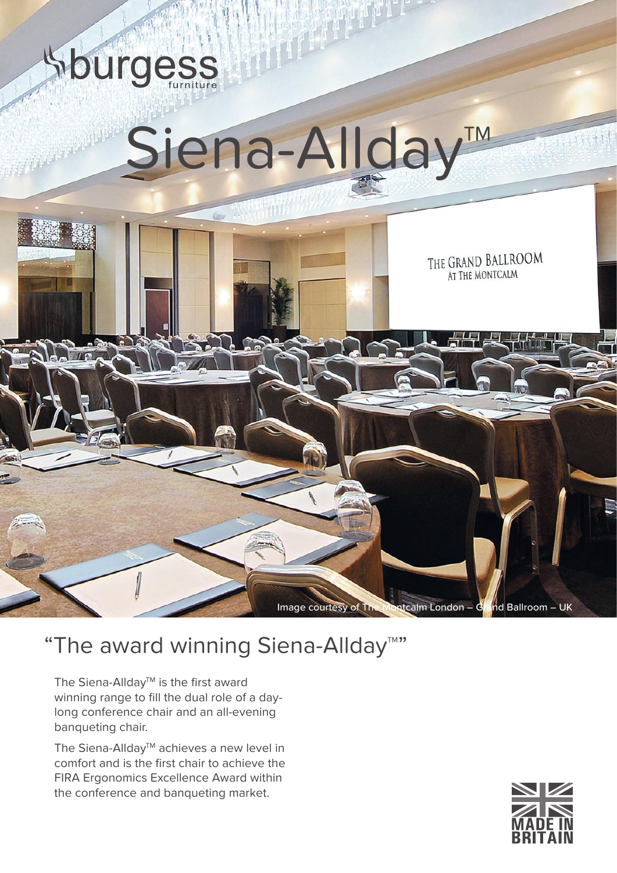

## "The award winning Siena-Allday™"

The Siena-Allday<sup>™</sup> is the first award winning range to fill the dual role of a daylong conference chair and an all-evening banqueting chair.

The Siena-Allday™ achieves a new level in comfort and is the first chair to achieve the FIRA Ergonomics Excellence Award within the conference and banqueting market.